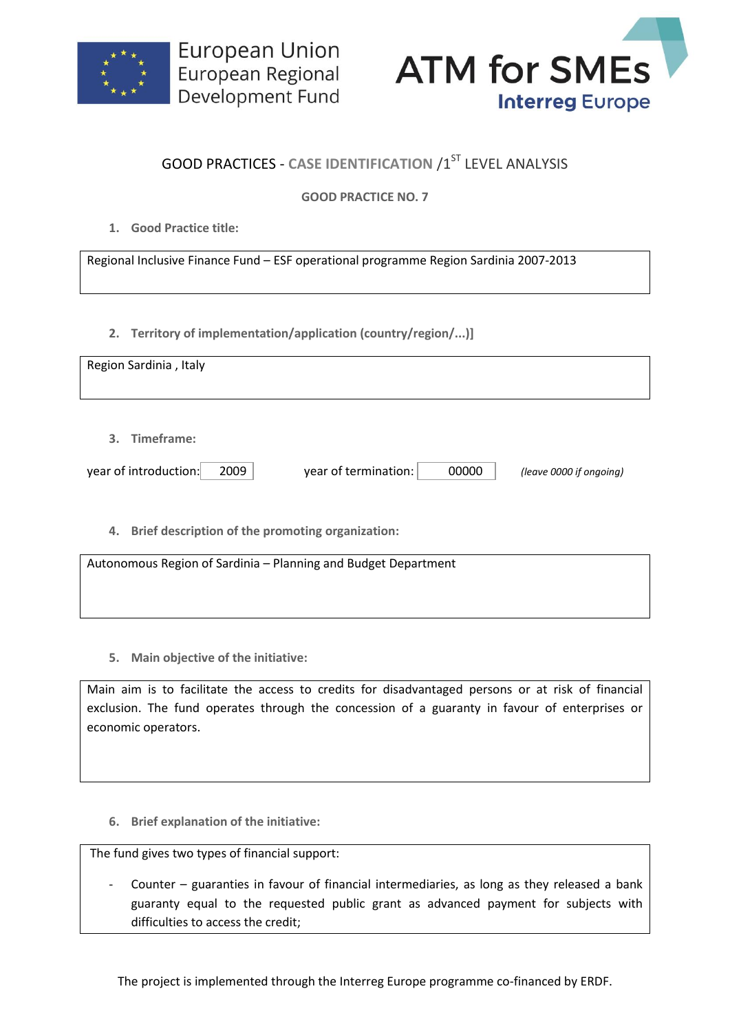



## **GOOD PRACTICES - CASE IDENTIFICATION /1ST LEVEL ANALYSIS**

## **GOOD PRACTICE NO. 7**

**1. Good Practice title:**

Regional Inclusive Finance Fund – ESF operational programme Region Sardinia 2007-2013

**2. Territory of implementation/application (country/region/...)]**

**5. Main objective of the initiative:**

Main aim is to facilitate the access to credits for disadvantaged persons or at risk of financial exclusion. The fund operates through the concession of a guaranty in favour of enterprises or economic operators.

**6. Brief explanation of the initiative:**

The fund gives two types of financial support:

Counter  $-$  guaranties in favour of financial intermediaries, as long as they released a bank guaranty equal to the requested public grant as advanced payment for subjects with difficulties to access the credit;

The project is implemented through the Interreg Europe programme co-financed by ERDF.